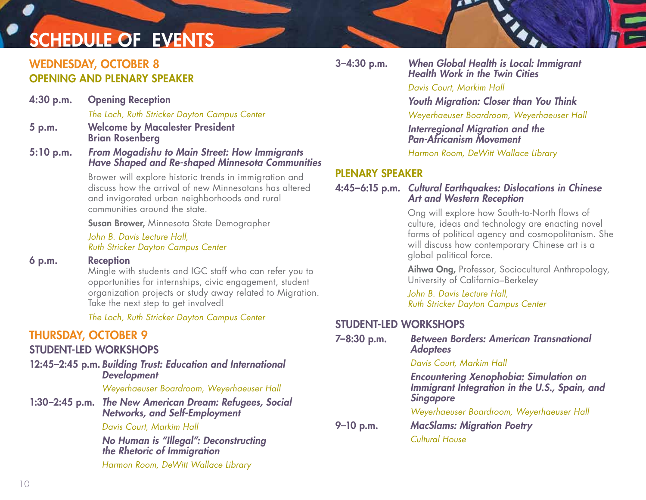## CHEDULE OF EVENTS

### WEDNESDAY, OCTOBER 8 OPENING AND PLENARY SPEAKER

| $4:30$ p.m.      | <b>Opening Reception</b>                                                                                                                                                                                                                    |                        |
|------------------|---------------------------------------------------------------------------------------------------------------------------------------------------------------------------------------------------------------------------------------------|------------------------|
|                  | The Loch, Ruth Stricker Dayton Campus Center                                                                                                                                                                                                |                        |
| 5 p.m.           | <b>Welcome by Macalester President</b><br><b>Brian Rosenberg</b>                                                                                                                                                                            |                        |
| $5:10$ p.m.      | <b>From Mogadishu to Main Street: How Immigrants</b><br><b>Have Shaped and Re-shaped Minnesota Communities</b>                                                                                                                              |                        |
|                  | Brower will explore historic trends in immigration and<br>discuss how the arrival of new Minnesotans has altered<br>and invigorated urban neighborhoods and rural<br>communities around the state.                                          | Pl<br>4:               |
|                  | <b>Susan Brower, Minnesota State Demographer</b>                                                                                                                                                                                            |                        |
|                  | John B. Davis Lecture Hall,<br>Ruth Stricker Dayton Campus Center                                                                                                                                                                           |                        |
| 6 p.m.           | <b>Reception</b><br>Mingle with students and IGC staff who can refer you to<br>opportunities for internships, civic engagement, student<br>organization projects or study away related to Migration.<br>Take the next step to get involved! |                        |
|                  | The Loch, Ruth Stricker Dayton Campus Center                                                                                                                                                                                                |                        |
|                  | <b>THURSDAY, OCTOBER 9</b><br><b>STUDENT-LED WORKSHOPS</b>                                                                                                                                                                                  | S <sub>1</sub><br>$7-$ |
|                  | 12:45-2:45 p.m. Building Trust: Education and International<br><b>Development</b>                                                                                                                                                           |                        |
|                  | Weyerhaeuser Boardroom, Weyerhaeuser Hall                                                                                                                                                                                                   |                        |
| $1:30-2:45$ p.m. | <b>The New American Dream: Refugees, Social</b><br><b>Networks, and Self-Employment</b>                                                                                                                                                     |                        |

#### *Davis Court, Markim Hall*

*No Human is "Illegal": Deconstructing the Rhetoric of Immigration Harmon Room, DeWitt Wallace Library* 

3–4:30 p.m. *When Global Health is Local: Immigrant Health Work in the Twin Cities* 

*Davis Court, Markim Hall*

*Youth Migration: Closer than You Think*

*Weyerhaeuser Boardroom, Weyerhaeuser Hall*

*Interregional Migration and the Pan-Africanism Movement* 

*Harmon Room, DeWitt Wallace Library* 

#### LENARY SPEAKER

4:45–6:15 p.m. *Cultural Earthquakes: Dislocations in Chinese Art and Western Reception*

> Ong will explore how South-to-North flows of culture, ideas and technology are enacting novel forms of political agency and cosmopolitanism. She will discuss how contemporary Chinese art is a global political force.

Aihwa Ong, Professor, Sociocultural Anthropology, University of California–Berkeley

*John B. Davis Lecture Hall, Ruth Stricker Dayton Campus Center*

#### TUDENT-LED WORKSHOPS

| 7-8:30 p.m.   | <b>Between Borders: American Transnational</b><br><b>Adoptees</b>                                                   |
|---------------|---------------------------------------------------------------------------------------------------------------------|
|               | Davis Court, Markim Hall                                                                                            |
|               | <b>Encountering Xenophobia: Simulation on<br/>Immigrant Integration in the U.S., Spain, and</b><br><b>Singapore</b> |
| $9 - 10$ p.m. | Weyerhaeuser Boardroom, Weyerhaeuser Hall<br><b>MacSlams: Migration Poetry</b>                                      |
|               | <b>Cultural House</b>                                                                                               |